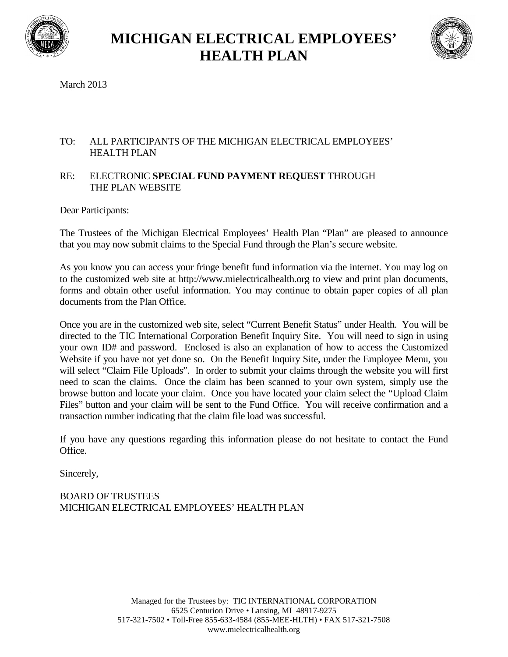



March 2013

## TO: ALL PARTICIPANTS OF THE MICHIGAN ELECTRICAL EMPLOYEES' HEALTH PLAN

## RE: ELECTRONIC **SPECIAL FUND PAYMENT REQUEST** THROUGH THE PLAN WEBSITE

Dear Participants:

The Trustees of the Michigan Electrical Employees' Health Plan "Plan" are pleased to announce that you may now submit claims to the Special Fund through the Plan's secure website.

As you know you can access your fringe benefit fund information via the internet. You may log on to the customized web site at http://www.mielectricalhealth.org to view and print plan documents, forms and obtain other useful information. You may continue to obtain paper copies of all plan documents from the Plan Office.

Once you are in the customized web site, select "Current Benefit Status" under Health. You will be directed to the TIC International Corporation Benefit Inquiry Site. You will need to sign in using your own ID# and password. Enclosed is also an explanation of how to access the Customized Website if you have not yet done so. On the Benefit Inquiry Site, under the Employee Menu, you will select "Claim File Uploads". In order to submit your claims through the website you will first need to scan the claims. Once the claim has been scanned to your own system, simply use the browse button and locate your claim. Once you have located your claim select the "Upload Claim Files" button and your claim will be sent to the Fund Office. You will receive confirmation and a transaction number indicating that the claim file load was successful.

If you have any questions regarding this information please do not hesitate to contact the Fund Office.

Sincerely,

## BOARD OF TRUSTEES MICHIGAN ELECTRICAL EMPLOYEES' HEALTH PLAN